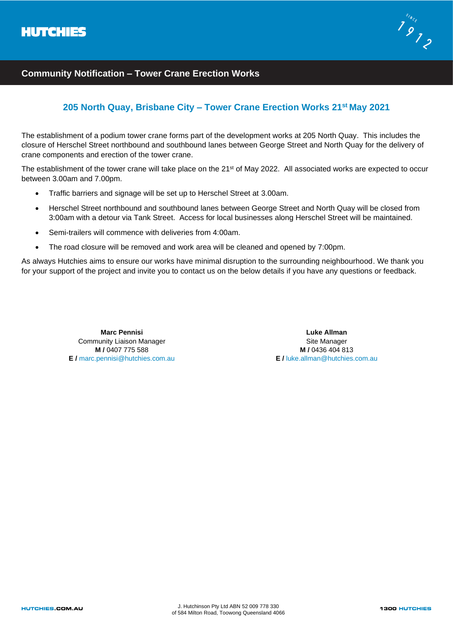

## **Community Notification – Tower Crane Erection Works**

## **205 North Quay, Brisbane City – Tower Crane Erection Works 21st May 2021**

The establishment of a podium tower crane forms part of the development works at 205 North Quay. This includes the closure of Herschel Street northbound and southbound lanes between George Street and North Quay for the delivery of crane components and erection of the tower crane.

The establishment of the tower crane will take place on the 21<sup>st</sup> of May 2022. All associated works are expected to occur between 3.00am and 7.00pm.

- Traffic barriers and signage will be set up to Herschel Street at 3.00am.
- Herschel Street northbound and southbound lanes between George Street and North Quay will be closed from 3:00am with a detour via Tank Street. Access for local businesses along Herschel Street will be maintained.
- Semi-trailers will commence with deliveries from 4:00am.
- The road closure will be removed and work area will be cleaned and opened by 7:00pm.

As always Hutchies aims to ensure our works have minimal disruption to the surrounding neighbourhood. We thank you for your support of the project and invite you to contact us on the below details if you have any questions or feedback.

> **Marc Pennisi** Community Liaison Manager **M /** 0407 775 588 **E /** marc.pennisi@hutchies.com.au

**Luke Allman** Site Manager **M /** 0436 404 813 **E** *I* luke allman@hutchies.com.au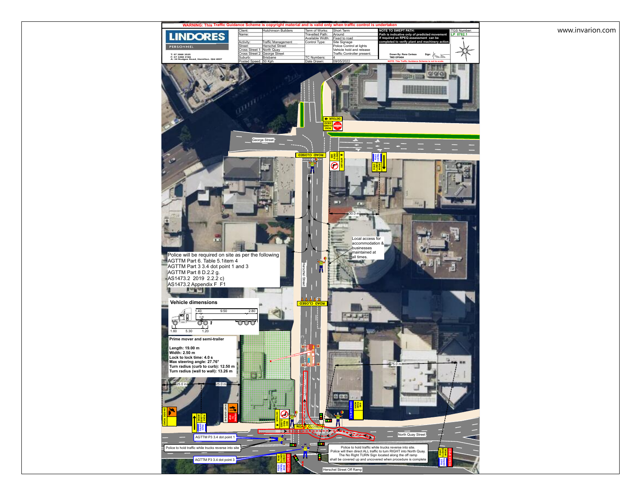